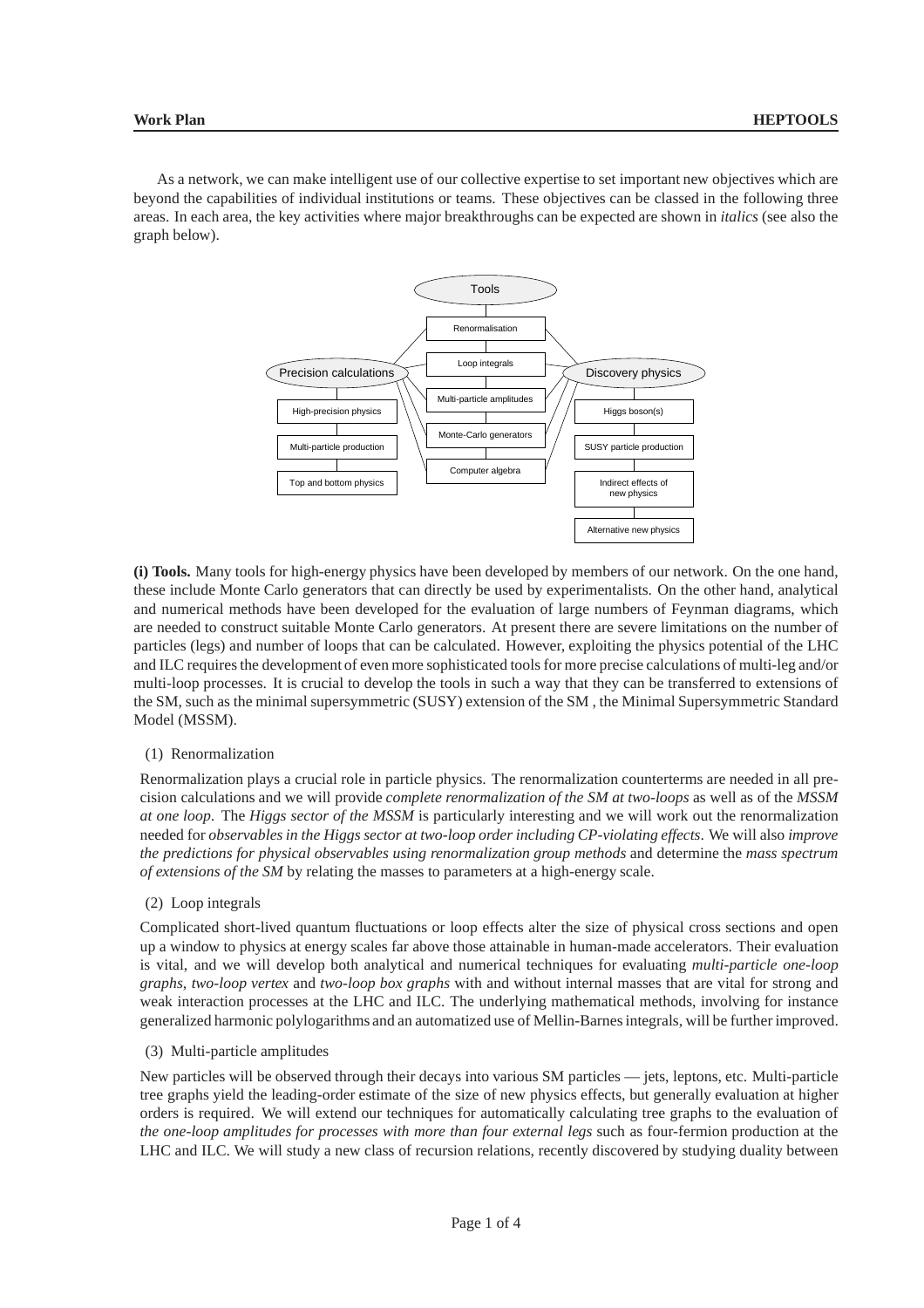As a network, we can make intelligent use of our collective expertise to set important new objectives which are beyond the capabilities of individual institutions or teams. These objectives can be classed in the following three areas. In each area, the key activities where major breakthroughs can be expected are shown in *italics* (see also the graph below).



**(i) Tools.** Many tools for high-energy physics have been developed by members of our network. On the one hand, these include Monte Carlo generators that can directly be used by experimentalists. On the other hand, analytical and numerical methods have been developed for the evaluation of large numbers of Feynman diagrams, which are needed to construct suitable Monte Carlo generators. At present there are severe limitations on the number of particles (legs) and number of loops that can be calculated. However, exploiting the physics potential of the LHC and ILC requires the development of even more sophisticated tools for more precise calculations of multi-leg and/or multi-loop processes. It is crucial to develop the tools in such a way that they can be transferred to extensions of the SM, such as the minimal supersymmetric (SUSY) extension of the SM , the Minimal Supersymmetric Standard Model (MSSM).

### (1) Renormalization

Renormalization plays a crucial role in particle physics. The renormalization counterterms are needed in all precision calculations and we will provide *complete renormalization of the SM at two-loops* as well as of the *MSSM at one loop*. The *Higgs sector of the MSSM* is particularly interesting and we will work out the renormalization needed for *observables in the Higgs sector at two-loop order including CP-violating effects*. We will also *improve the predictions for physical observables using renormalization group methods* and determine the *mass spectrum of extensions of the SM* by relating the masses to parameters at a high-energy scale.

### (2) Loop integrals

Complicated short-lived quantum fluctuations or loop effects alter the size of physical cross sections and open up a window to physics at energy scales far above those attainable in human-made accelerators. Their evaluation is vital, and we will develop both analytical and numerical techniques for evaluating *multi-particle one-loop graphs*, *two-loop vertex* and *two-loop box graphs* with and without internal masses that are vital for strong and weak interaction processes at the LHC and ILC. The underlying mathematical methods, involving for instance generalized harmonic polylogarithms and an automatized use of Mellin-Barnes integrals, will be further improved.

### (3) Multi-particle amplitudes

New particles will be observed through their decays into various SM particles — jets, leptons, etc. Multi-particle tree graphs yield the leading-order estimate of the size of new physics effects, but generally evaluation at higher orders is required. We will extend our techniques for automatically calculating tree graphs to the evaluation of *the one-loop amplitudes for processes with more than four external legs* such as four-fermion production at the LHC and ILC. We will study a new class of recursion relations, recently discovered by studying duality between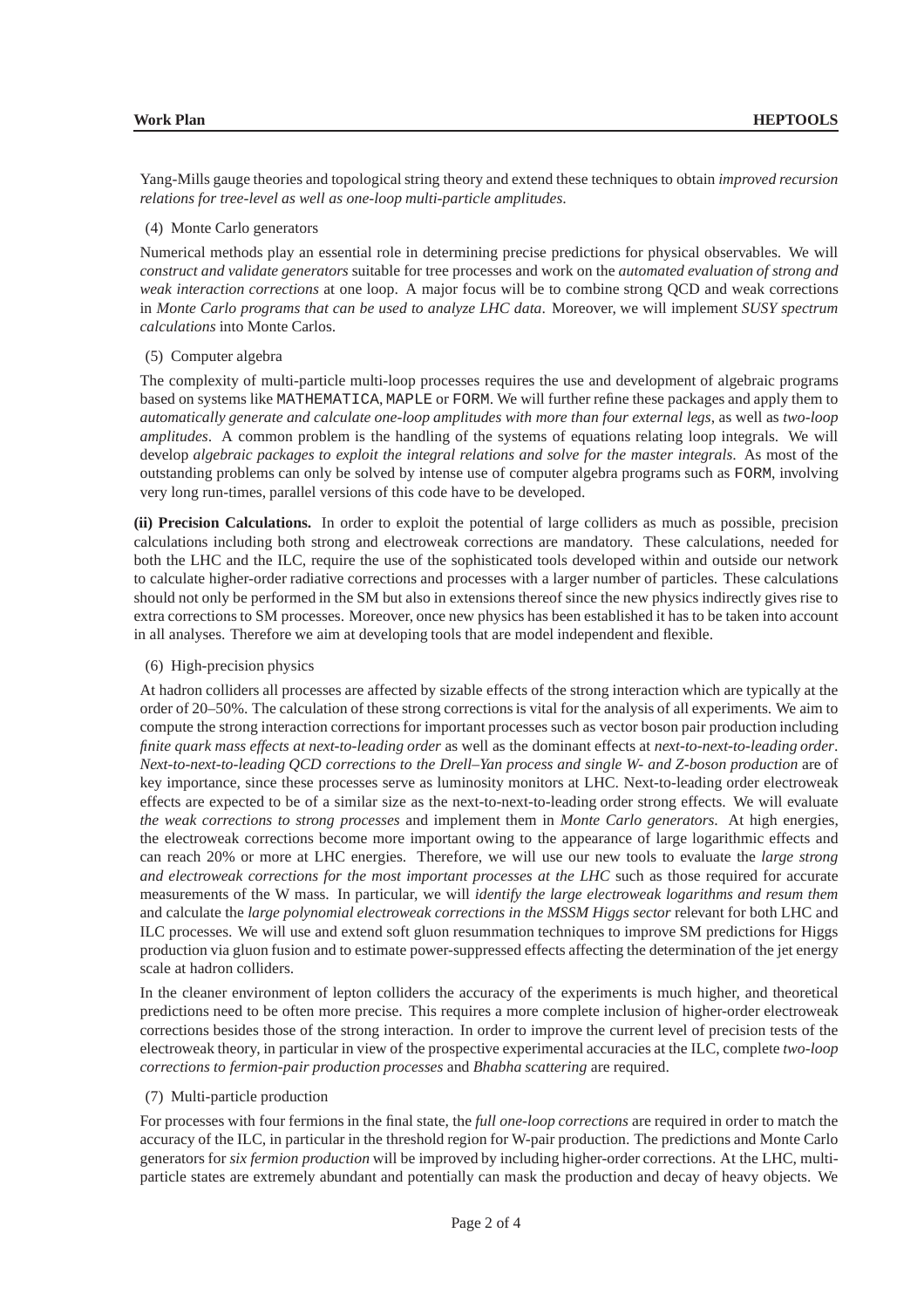Yang-Mills gauge theories and topological string theory and extend these techniques to obtain *improved recursion relations for tree-level as well as one-loop multi-particle amplitudes*.

### (4) Monte Carlo generators

Numerical methods play an essential role in determining precise predictions for physical observables. We will *construct and validate generators* suitable for tree processes and work on the *automated evaluation of strong and weak interaction corrections* at one loop. A major focus will be to combine strong QCD and weak corrections in *Monte Carlo programs that can be used to analyze LHC data*. Moreover, we will implement *SUSY spectrum calculations* into Monte Carlos.

# (5) Computer algebra

The complexity of multi-particle multi-loop processes requires the use and development of algebraic programs based on systems like MATHEMATICA, MAPLE or FORM. We will further refine these packages and apply them to *automatically generate and calculate one-loop amplitudes with more than four external legs*, as well as *two-loop amplitudes*. A common problem is the handling of the systems of equations relating loop integrals. We will develop *algebraic packages to exploit the integral relations and solve for the master integrals*. As most of the outstanding problems can only be solved by intense use of computer algebra programs such as FORM, involving very long run-times, parallel versions of this code have to be developed.

**(ii) Precision Calculations.** In order to exploit the potential of large colliders as much as possible, precision calculations including both strong and electroweak corrections are mandatory. These calculations, needed for both the LHC and the ILC, require the use of the sophisticated tools developed within and outside our network to calculate higher-order radiative corrections and processes with a larger number of particles. These calculations should not only be performed in the SM but also in extensions thereof since the new physics indirectly gives rise to extra corrections to SM processes. Moreover, once new physics has been established it has to be taken into account in all analyses. Therefore we aim at developing tools that are model independent and flexible.

### (6) High-precision physics

At hadron colliders all processes are affected by sizable effects of the strong interaction which are typically at the order of 20–50%. The calculation of these strong corrections is vital for the analysis of all experiments. We aim to compute the strong interaction corrections for important processes such as vector boson pair production including *finite quark mass effects at next-to-leading order* as well as the dominant effects at *next-to-next-to-leading order*. *Next-to-next-to-leading QCD corrections to the Drell–Yan process and single W- and Z-boson production* are of key importance, since these processes serve as luminosity monitors at LHC. Next-to-leading order electroweak effects are expected to be of a similar size as the next-to-next-to-leading order strong effects. We will evaluate *the weak corrections to strong processes* and implement them in *Monte Carlo generators*. At high energies, the electroweak corrections become more important owing to the appearance of large logarithmic effects and can reach 20% or more at LHC energies. Therefore, we will use our new tools to evaluate the *large strong and electroweak corrections for the most important processes at the LHC* such as those required for accurate measurements of the W mass. In particular, we will *identify the large electroweak logarithms and resum them* and calculate the *large polynomial electroweak corrections in the MSSM Higgs sector* relevant for both LHC and ILC processes. We will use and extend soft gluon resummation techniques to improve SM predictions for Higgs production via gluon fusion and to estimate power-suppressed effects affecting the determination of the jet energy scale at hadron colliders.

In the cleaner environment of lepton colliders the accuracy of the experiments is much higher, and theoretical predictions need to be often more precise. This requires a more complete inclusion of higher-order electroweak corrections besides those of the strong interaction. In order to improve the current level of precision tests of the electroweak theory, in particular in view of the prospective experimental accuracies at the ILC, complete *two-loop corrections to fermion-pair production processes* and *Bhabha scattering* are required.

### (7) Multi-particle production

For processes with four fermions in the final state, the *full one-loop corrections* are required in order to match the accuracy of the ILC, in particular in the threshold region for W-pair production. The predictions and Monte Carlo generators for *six fermion production* will be improved by including higher-order corrections. At the LHC, multiparticle states are extremely abundant and potentially can mask the production and decay of heavy objects. We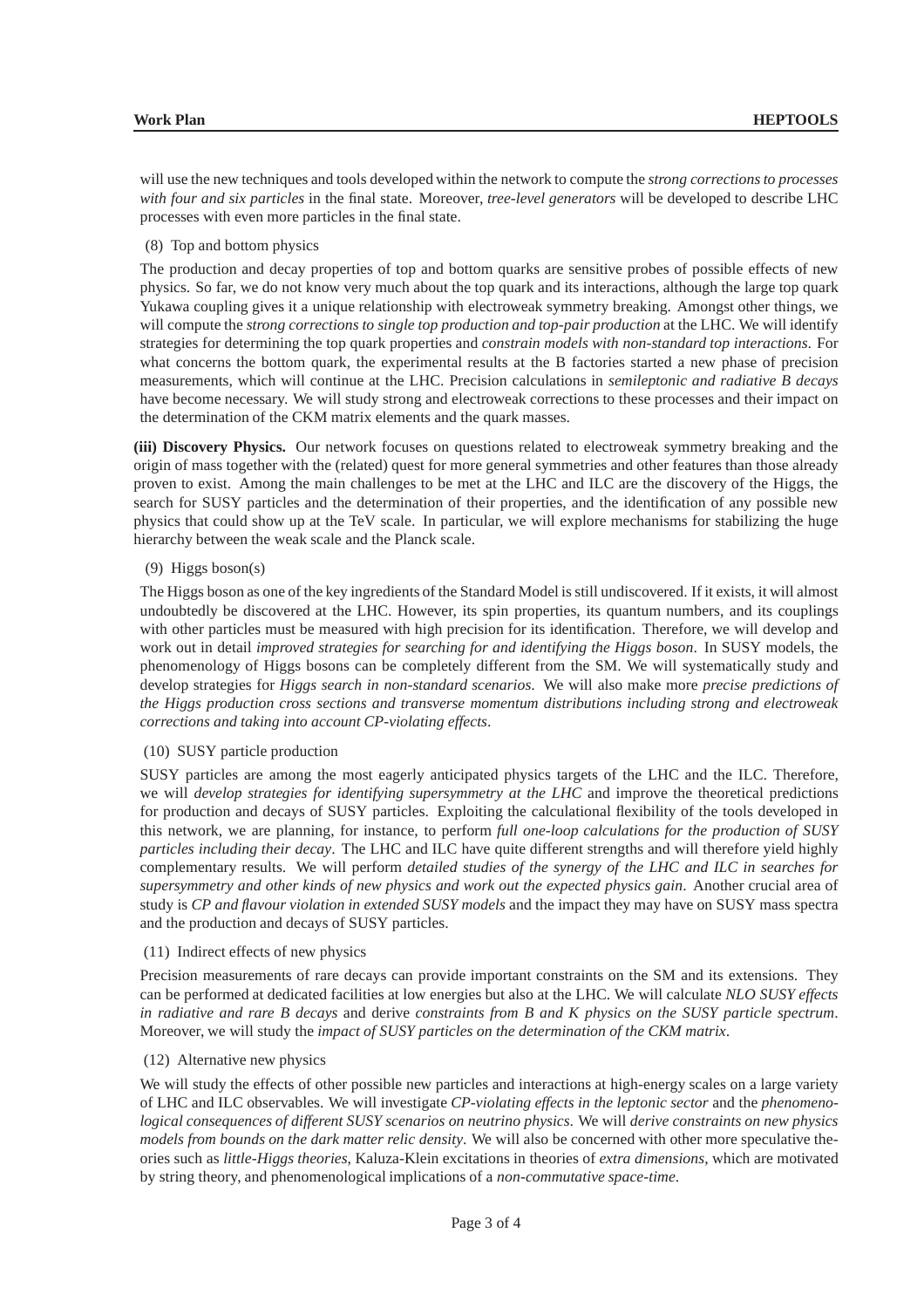will use the new techniques and tools developed within the network to compute the *strong corrections to processes with four and six particles* in the final state. Moreover, *tree-level generators* will be developed to describe LHC processes with even more particles in the final state.

(8) Top and bottom physics

The production and decay properties of top and bottom quarks are sensitive probes of possible effects of new physics. So far, we do not know very much about the top quark and its interactions, although the large top quark Yukawa coupling gives it a unique relationship with electroweak symmetry breaking. Amongst other things, we will compute the *strong corrections to single top production and top-pair production* at the LHC. We will identify strategies for determining the top quark properties and *constrain models with non-standard top interactions*. For what concerns the bottom quark, the experimental results at the B factories started a new phase of precision measurements, which will continue at the LHC. Precision calculations in *semileptonic and radiative B decays* have become necessary. We will study strong and electroweak corrections to these processes and their impact on the determination of the CKM matrix elements and the quark masses.

**(iii) Discovery Physics.** Our network focuses on questions related to electroweak symmetry breaking and the origin of mass together with the (related) quest for more general symmetries and other features than those already proven to exist. Among the main challenges to be met at the LHC and ILC are the discovery of the Higgs, the search for SUSY particles and the determination of their properties, and the identification of any possible new physics that could show up at the TeV scale. In particular, we will explore mechanisms for stabilizing the huge hierarchy between the weak scale and the Planck scale.

# (9) Higgs boson(s)

The Higgs boson as one of the key ingredients of the Standard Model is still undiscovered. If it exists, it will almost undoubtedly be discovered at the LHC. However, its spin properties, its quantum numbers, and its couplings with other particles must be measured with high precision for its identification. Therefore, we will develop and work out in detail *improved strategies for searching for and identifying the Higgs boson*. In SUSY models, the phenomenology of Higgs bosons can be completely different from the SM. We will systematically study and develop strategies for *Higgs search in non-standard scenarios*. We will also make more *precise predictions of the Higgs production cross sections and transverse momentum distributions including strong and electroweak corrections and taking into account CP-violating effects*.

### (10) SUSY particle production

SUSY particles are among the most eagerly anticipated physics targets of the LHC and the ILC. Therefore, we will *develop strategies for identifying supersymmetry at the LHC* and improve the theoretical predictions for production and decays of SUSY particles. Exploiting the calculational flexibility of the tools developed in this network, we are planning, for instance, to perform *full one-loop calculations for the production of SUSY particles including their decay*. The LHC and ILC have quite different strengths and will therefore yield highly complementary results. We will perform *detailed studies of the synergy of the LHC and ILC in searches for supersymmetry and other kinds of new physics and work out the expected physics gain*. Another crucial area of study is *CP and flavour violation in extended SUSY models* and the impact they may have on SUSY mass spectra and the production and decays of SUSY particles.

#### (11) Indirect effects of new physics

Precision measurements of rare decays can provide important constraints on the SM and its extensions. They can be performed at dedicated facilities at low energies but also at the LHC. We will calculate *NLO SUSY effects in radiative and rare B decays* and derive *constraints from B and K physics on the SUSY particle spectrum*. Moreover, we will study the *impact of SUSY particles on the determination of the CKM matrix*.

# (12) Alternative new physics

We will study the effects of other possible new particles and interactions at high-energy scales on a large variety of LHC and ILC observables. We will investigate *CP-violating effects in the leptonic sector* and the *phenomenological consequences of different SUSY scenarios on neutrino physics*. We will *derive constraints on new physics models from bounds on the dark matter relic density*. We will also be concerned with other more speculative theories such as *little-Higgs theories*, Kaluza-Klein excitations in theories of *extra dimensions*, which are motivated by string theory, and phenomenological implications of a *non-commutative space-time*.